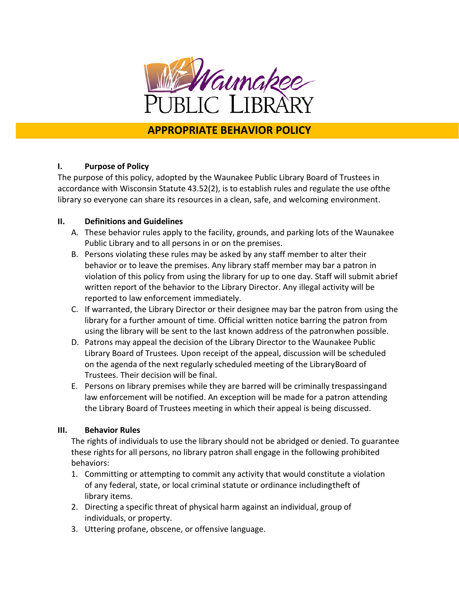

## **APPROPRIATE BEHAVIOR POLICY**

## **I. Purpose of Policy**

The purpose of this policy, adopted by the Waunakee Public Library Board of Trustees in accordance with Wisconsin Statute 43.52(2), is to establish rules and regulate the use ofthe library so everyone can share its resources in a clean, safe, and welcoming environment.

## **II. Definitions and Guidelines**

- A. These behavior rules apply to the facility, grounds, and parking lots of the Waunakee Public Library and to all persons in or on the premises.
- B. Persons violating these rules may be asked by any staff member to alter their behavior or to leave the premises. Any library staff member may bar a patron in violation of this policy from using the library for up to one day. Staff will submit abrief written report of the behavior to the Library Director. Any illegal activity will be reported to law enforcement immediately.
- C. If warranted, the Library Director or their designee may bar the patron from using the library for a further amount of time. Official written notice barring the patron from using the library will be sent to the last known address of the patronwhen possible.
- D. Patrons may appeal the decision of the Library Director to the Waunakee Public Library Board of Trustees. Upon receipt of the appeal, discussion will be scheduled on the agenda of the next regularly scheduled meeting of the LibraryBoard of Trustees. Their decision will be final.
- E. Persons on library premises while they are barred will be criminally trespassingand law enforcement will be notified. An exception will be made for a patron attending the Library Board of Trustees meeting in which their appeal is being discussed.

## **III. Behavior Rules**

The rights of individuals to use the library should not be abridged or denied. To guarantee these rights for all persons, no library patron shall engage in the following prohibited behaviors:

- 1. Committing or attempting to commit any activity that would constitute a violation of any federal, state, or local criminal statute or ordinance includingtheft of library items.
- 2. Directing a specific threat of physical harm against an individual, group of individuals, or property.
- 3. Uttering profane, obscene, or offensive language.